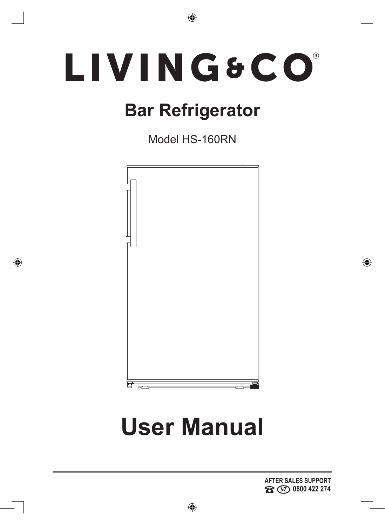# LIVING&CO®

 $\bigoplus$ 

# **Bar Refrigerator**

Model HS-160RN



◈

# **User Manual**

 $\bigoplus$ 

**AFTER SALES SUPPORT NZ 0800 422 274**

◈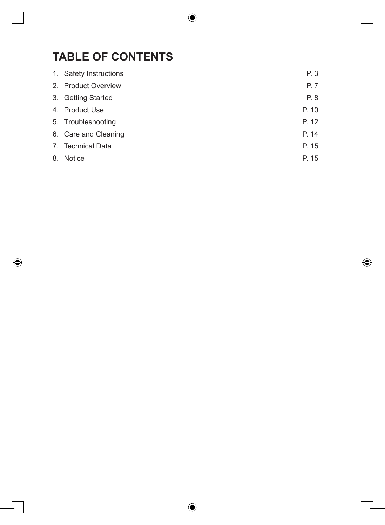# **TABLE OF CONTENTS**

 $\bigoplus$ 

| 1. Safety Instructions | P. 3  |
|------------------------|-------|
| 2. Product Overview    | P. 7  |
| 3. Getting Started     | P. 8  |
| 4. Product Use         | P. 10 |
| 5. Troubleshooting     | P. 12 |
| 6. Care and Cleaning   | P. 14 |
| 7. Technical Data      | P. 15 |
| 8. Notice              | P. 15 |

 $\bigoplus$ 

 $\bigoplus$ 

 $\bigoplus$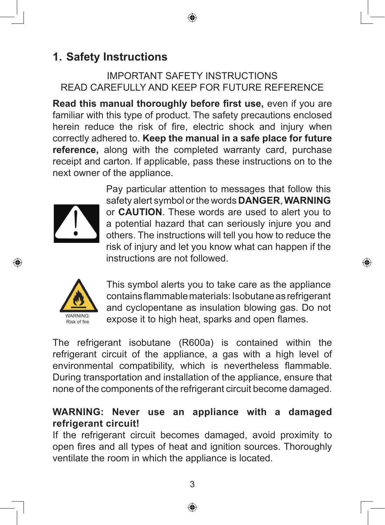# **1. Safety Instructions**

#### IMPORTANT SAFETY INSTRUCTIONS READ CAREFULLY AND KEEP FOR FUTURE REFERENCE

⊕

**Read this manual thoroughly before first use,** even if you are familiar with this type of product. The safety precautions enclosed herein reduce the risk of fire, electric shock and injury when correctly adhered to. **Keep the manual in a safe place for future reference,** along with the completed warranty card, purchase receipt and carton. If applicable, pass these instructions on to the next owner of the appliance.



⊕

Pay particular attention to messages that follow this safety alert symbol or the words **DANGER**, **WARNING** or **CAUTION**. These words are used to alert you to a potential hazard that can seriously injure you and others. The instructions will tell you how to reduce the risk of injury and let you know what can happen if the instructions are not followed.

⊕



This symbol alerts you to take care as the appliance contains flammable materials: Isobutane as refrigerant and cyclopentane as insulation blowing gas. Do not expose it to high heat, sparks and open flames.

The refrigerant isobutane (R600a) is contained within the refrigerant circuit of the appliance, a gas with a high level of environmental compatibility, which is nevertheless flammable. During transportation and installation of the appliance, ensure that none of the components of the refrigerant circuit become damaged.

#### **WARNING: Never use an appliance with a damaged refrigerant circuit!**

If the refrigerant circuit becomes damaged, avoid proximity to open fires and all types of heat and ignition sources. Thoroughly ventilate the room in which the appliance is located.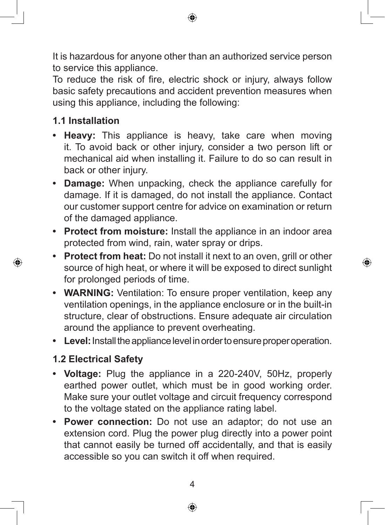It is hazardous for anyone other than an authorized service person to service this appliance.

⊕

To reduce the risk of fire, electric shock or injury, always follow basic safety precautions and accident prevention measures when using this appliance, including the following:

### **1.1 Installation**

⊕

- **• Heavy:** This appliance is heavy, take care when moving it. To avoid back or other injury, consider a two person lift or mechanical aid when installing it. Failure to do so can result in back or other injury.
- **• Damage:** When unpacking, check the appliance carefully for damage. If it is damaged, do not install the appliance. Contact our customer support centre for advice on examination or return of the damaged appliance.
- **• Protect from moisture:** Install the appliance in an indoor area protected from wind, rain, water spray or drips.
- **• Protect from heat:** Do not install it next to an oven, grill or other source of high heat, or where it will be exposed to direct sunlight for prolonged periods of time.

⊕

- **• WARNING:** Ventilation: To ensure proper ventilation, keep any ventilation openings, in the appliance enclosure or in the built-in structure, clear of obstructions. Ensure adequate air circulation around the appliance to prevent overheating.
- **• Level:** Install the appliance level in order to ensure proper operation.

## **1.2 Electrical Safety**

- **• Voltage:** Plug the appliance in a 220-240V, 50Hz, properly earthed power outlet, which must be in good working order. Make sure your outlet voltage and circuit frequency correspond to the voltage stated on the appliance rating label.
- **• Power connection:** Do not use an adaptor; do not use an extension cord. Plug the power plug directly into a power point that cannot easily be turned off accidentally, and that is easily accessible so you can switch it off when required.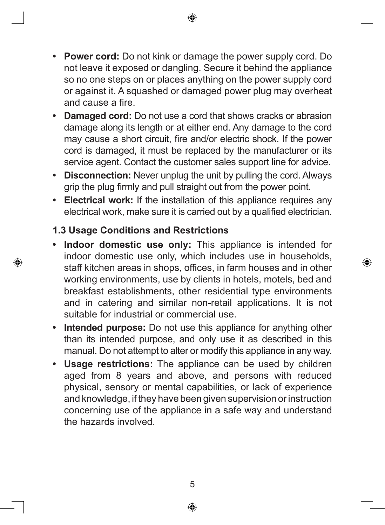**• Power cord:** Do not kink or damage the power supply cord. Do not leave it exposed or dangling. Secure it behind the appliance so no one steps on or places anything on the power supply cord or against it. A squashed or damaged power plug may overheat and cause a fire.

↔

- **• Damaged cord:** Do not use a cord that shows cracks or abrasion damage along its length or at either end. Any damage to the cord may cause a short circuit, fire and/or electric shock. If the power cord is damaged, it must be replaced by the manufacturer or its service agent. Contact the customer sales support line for advice.
- **• Disconnection:** Never unplug the unit by pulling the cord. Always grip the plug firmly and pull straight out from the power point.
- **• Electrical work:** If the installation of this appliance requires any electrical work, make sure it is carried out by a qualified electrician.

#### **1.3 Usage Conditions and Restrictions**

⊕

**• Indoor domestic use only:** This appliance is intended for indoor domestic use only, which includes use in households, staff kitchen areas in shops, offices, in farm houses and in other working environments, use by clients in hotels, motels, bed and breakfast establishments, other residential type environments and in catering and similar non-retail applications. It is not suitable for industrial or commercial use.

◈

- **• Intended purpose:** Do not use this appliance for anything other than its intended purpose, and only use it as described in this manual. Do not attempt to alter or modify this appliance in any way.
- **• Usage restrictions:** The appliance can be used by children aged from 8 years and above, and persons with reduced physical, sensory or mental capabilities, or lack of experience and knowledge, if they have been given supervision or instruction concerning use of the appliance in a safe way and understand the hazards involved.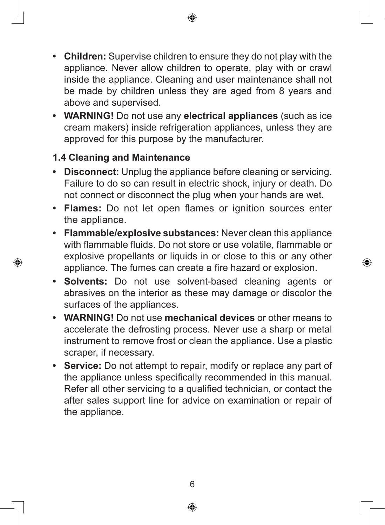**• Children:** Supervise children to ensure they do not play with the appliance. Never allow children to operate, play with or crawl inside the appliance. Cleaning and user maintenance shall not be made by children unless they are aged from 8 years and above and supervised.

↔

**• WARNING!** Do not use any **electrical appliances** (such as ice cream makers) inside refrigeration appliances, unless they are approved for this purpose by the manufacturer.

## **1.4 Cleaning and Maintenance**

⊕

- **• Disconnect:** Unplug the appliance before cleaning or servicing. Failure to do so can result in electric shock, injury or death. Do not connect or disconnect the plug when your hands are wet.
- **• Flames:** Do not let open flames or ignition sources enter the appliance.
- **• Flammable/explosive substances:** Never clean this appliance with flammable fluids. Do not store or use volatile, flammable or explosive propellants or liquids in or close to this or any other appliance. The fumes can create a fire hazard or explosion.

⊕

- **• Solvents:** Do not use solvent-based cleaning agents or abrasives on the interior as these may damage or discolor the surfaces of the appliances.
- **• WARNING!** Do not use **mechanical devices** or other means to accelerate the defrosting process. Never use a sharp or metal instrument to remove frost or clean the appliance. Use a plastic scraper, if necessary.
- **• Service:** Do not attempt to repair, modify or replace any part of the appliance unless specifically recommended in this manual. Refer all other servicing to a qualified technician, or contact the after sales support line for advice on examination or repair of the appliance.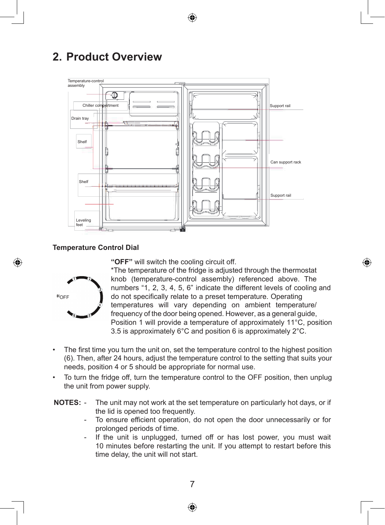

# **2. Product Overview**



#### **Temperature Control Dial**



◈

**"OFF"** will switch the cooling circuit off.

\*The temperature of the fridge is adjusted through the thermostat knob (temperature-control assembly) referenced above. The numbers "1, 2, 3, 4, 5, 6" indicate the different levels of cooling and do not specifically relate to a preset temperature. Operating temperatures will vary depending on ambient temperature/ frequency of the door being opened. However, as a general guide, Position 1 will provide a temperature of approximately 11°C, position 3.5 is approximately 6°C and position 6 is approximately 2°C.

- The first time you turn the unit on, set the temperature control to the highest position (6). Then, after 24 hours, adjust the temperature control to the setting that suits your needs, position 4 or 5 should be appropriate for normal use.
- To turn the fridge off, turn the temperature control to the OFF position, then unplug the unit from power supply.
- **NOTES:** The unit may not work at the set temperature on particularly hot days, or if the lid is opened too frequently.
	- To ensure efficient operation, do not open the door unnecessarily or for prolonged periods of time.
	- If the unit is unplugged, turned off or has lost power, you must wait 10 minutes before restarting the unit. If you attempt to restart before this time delay, the unit will not start.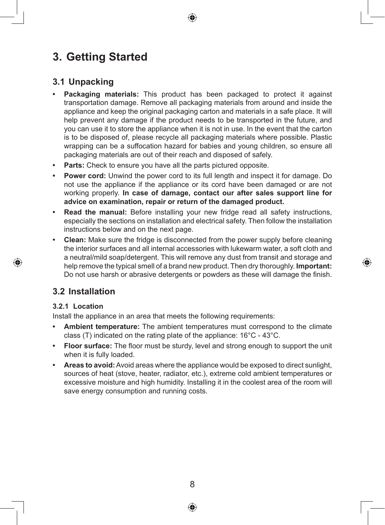# **3. Getting Started**

#### **3.1 Unpacking**

- **• Packaging materials:** This product has been packaged to protect it against transportation damage. Remove all packaging materials from around and inside the appliance and keep the original packaging carton and materials in a safe place. It will help prevent any damage if the product needs to be transported in the future, and you can use it to store the appliance when it is not in use. In the event that the carton is to be disposed of, please recycle all packaging materials where possible. Plastic wrapping can be a suffocation hazard for babies and young children, so ensure all packaging materials are out of their reach and disposed of safely.
- **• Parts:** Check to ensure you have all the parts pictured opposite.
- **• Power cord:** Unwind the power cord to its full length and inspect it for damage. Do not use the appliance if the appliance or its cord have been damaged or are not working properly. **In case of damage, contact our after sales support line for advice on examination, repair or return of the damaged product.**
- **• Read the manual:** Before installing your new fridge read all safety instructions, especially the sections on installation and electrical safety. Then follow the installation instructions below and on the next page.
- **• Clean:** Make sure the fridge is disconnected from the power supply before cleaning the interior surfaces and all internal accessories with lukewarm water, a soft cloth and a neutral/mild soap/detergent. This will remove any dust from transit and storage and help remove the typical smell of a brand new product. Then dry thoroughly. **Important:** Do not use harsh or abrasive detergents or powders as these will damage the finish.

#### **3.2 Installation**

#### **3.2.1 Location**

◈

Install the appliance in an area that meets the following requirements:

- **• Ambient temperature:** The ambient temperatures must correspond to the climate class (T) indicated on the rating plate of the appliance: 16°C - 43°C.
- **• Floor surface:** The floor must be sturdy, level and strong enough to support the unit when it is fully loaded.
- **• Areas to avoid:** Avoid areas where the appliance would be exposed to direct sunlight, sources of heat (stove, heater, radiator, etc.), extreme cold ambient temperatures or excessive moisture and high humidity. Installing it in the coolest area of the room will save energy consumption and running costs.

8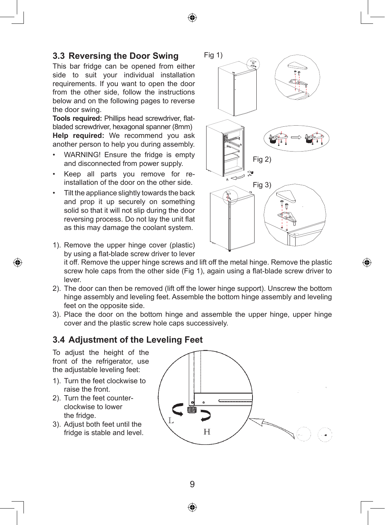#### **3.3 Reversing the Door Swing**

This bar fridge can be opened from either side to suit your individual installation requirements. If you want to open the door from the other side, follow the instructions below and on the following pages to reverse the door swing.

**Tools required:** Phillips head screwdriver, flatbladed screwdriver, hexagonal spanner (8mm) **Help required:** We recommend you ask another person to help you during assembly.

- WARNING! Ensure the fridge is empty and disconnected from power supply.
- Keep all parts you remove for reinstallation of the door on the other side.
- Tilt the appliance slightly towards the back and prop it up securely on something solid so that it will not slip during the door reversing process. Do not lay the unit flat as this may damage the coolant system.



1). Remove the upper hinge cover (plastic) by using a flat-blade screw driver to lever

it off. Remove the upper hinge screws and lift off the metal hinge. Remove the plastic screw hole caps from the other side (Fig 1), again using a flat-blade screw driver to lever.

- 2). The door can then be removed (lift off the lower hinge support). Unscrew the bottom hinge assembly and leveling feet. Assemble the bottom hinge assembly and leveling feet on the opposite side.
- 3). Place the door on the bottom hinge and assemble the upper hinge, upper hinge cover and the plastic screw hole caps successively.

#### **3.4 Adjustment of the Leveling Feet**

To adjust the height of the front of the refrigerator, use the adjustable leveling feet:

◈

- 1). Turn the feet clockwise to raise the front.
- 2). Turn the feet counterclockwise to lower the fridge.
- 3). Adjust both feet until the fridge is stable and level.





↔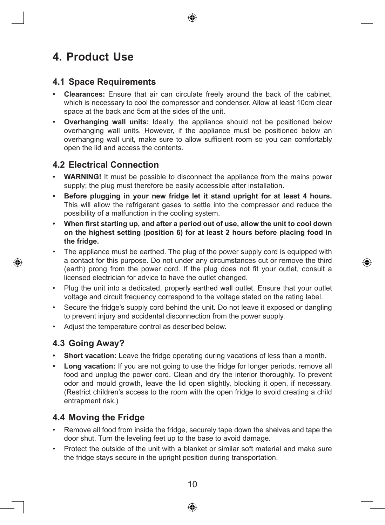# **4. Product Use**

#### **4.1 Space Requirements**

- **• Clearances:** Ensure that air can circulate freely around the back of the cabinet, which is necessary to cool the compressor and condenser. Allow at least 10cm clear space at the back and 5cm at the sides of the unit.
- **• Overhanging wall units:** Ideally, the appliance should not be positioned below overhanging wall units. However, if the appliance must be positioned below an overhanging wall unit, make sure to allow sufficient room so you can comfortably open the lid and access the contents.

#### **4.2 Electrical Connection**

- **• WARNING!** It must be possible to disconnect the appliance from the mains power supply; the plug must therefore be easily accessible after installation.
- **• Before plugging in your new fridge let it stand upright for at least 4 hours.** This will allow the refrigerant gases to settle into the compressor and reduce the possibility of a malfunction in the cooling system.
- **• When first starting up, and after a period out of use, allow the unit to cool down on the highest setting (position 6) for at least 2 hours before placing food in the fridge.**
- The appliance must be earthed. The plug of the power supply cord is equipped with a contact for this purpose. Do not under any circumstances cut or remove the third (earth) prong from the power cord. If the plug does not fit your outlet, consult a licensed electrician for advice to have the outlet changed.

◈

- Plug the unit into a dedicated, properly earthed wall outlet. Ensure that your outlet voltage and circuit frequency correspond to the voltage stated on the rating label.
- Secure the fridge's supply cord behind the unit. Do not leave it exposed or dangling to prevent injury and accidental disconnection from the power supply.
- Adjust the temperature control as described below.

#### **4.3 Going Away?**

◈

- **•• Short vacation:** Leave the fridge operating during vacations of less than a month.
- **• Long vacation:** If you are not going to use the fridge for longer periods, remove all food and unplug the power cord. Clean and dry the interior thoroughly. To prevent odor and mould growth, leave the lid open slightly, blocking it open, if necessary. (Restrict children's access to the room with the open fridge to avoid creating a child entrapment risk.)

#### **4.4 Moving the Fridge**

- Remove all food from inside the fridge, securely tape down the shelves and tape the door shut. Turn the leveling feet up to the base to avoid damage.
- Protect the outside of the unit with a blanket or similar soft material and make sure the fridge stays secure in the upright position during transportation.

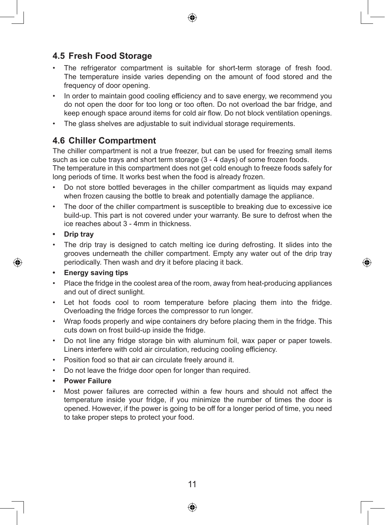#### **4.5 Fresh Food Storage**

- The refrigerator compartment is suitable for short-term storage of fresh food. The temperature inside varies depending on the amount of food stored and the frequency of door opening.
- In order to maintain good cooling efficiency and to save energy, we recommend you do not open the door for too long or too often. Do not overload the bar fridge, and keep enough space around items for cold air flow. Do not block ventilation openings.
- The glass shelves are adjustable to suit individual storage requirements.

#### **4.6 Chiller Compartment**

The chiller compartment is not a true freezer, but can be used for freezing small items such as ice cube trays and short term storage (3 - 4 days) of some frozen foods.

The temperature in this compartment does not get cold enough to freeze foods safely for long periods of time. It works best when the food is already frozen.

- Do not store bottled beverages in the chiller compartment as liquids may expand when frozen causing the bottle to break and potentially damage the appliance.
- The door of the chiller compartment is susceptible to breaking due to excessive ice build-up. This part is not covered under your warranty. Be sure to defrost when the ice reaches about 3 - 4mm in thickness.
- **• Drip tray**

◈

The drip tray is designed to catch melting ice during defrosting. It slides into the grooves underneath the chiller compartment. Empty any water out of the drip tray periodically. Then wash and dry it before placing it back.

⊕

#### **• Energy saving tips**

- Place the fridge in the coolest area of the room, away from heat-producing appliances and out of direct sunlight.
- Let hot foods cool to room temperature before placing them into the fridge. Overloading the fridge forces the compressor to run longer.
- Wrap foods properly and wipe containers dry before placing them in the fridge. This cuts down on frost build-up inside the fridge.
- Do not line any fridge storage bin with aluminum foil, wax paper or paper towels. Liners interfere with cold air circulation, reducing cooling efficiency.
- Position food so that air can circulate freely around it.
- Do not leave the fridge door open for longer than required.
- **• Power Failure**
- Most power failures are corrected within a few hours and should not affect the temperature inside your fridge, if you minimize the number of times the door is opened. However, if the power is going to be off for a longer period of time, you need to take proper steps to protect your food.



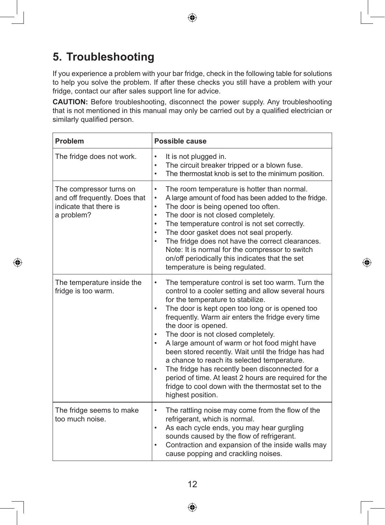

# **5. Troubleshooting**

If you experience a problem with your bar fridge, check in the following table for solutions to help you solve the problem. If after these checks you still have a problem with your fridge, contact our after sales support line for advice.

**CAUTION:** Before troubleshooting, disconnect the power supply. Any troubleshooting that is not mentioned in this manual may only be carried out by a qualified electrician or similarly qualified person.

| <b>Problem</b>                                                                                   | Possible cause                                                                                                                                                                                                                                                                                                                                                                                                                                                                                                                                                                                                                                                                                                            |
|--------------------------------------------------------------------------------------------------|---------------------------------------------------------------------------------------------------------------------------------------------------------------------------------------------------------------------------------------------------------------------------------------------------------------------------------------------------------------------------------------------------------------------------------------------------------------------------------------------------------------------------------------------------------------------------------------------------------------------------------------------------------------------------------------------------------------------------|
| The fridge does not work.                                                                        | It is not plugged in.<br>$\bullet$<br>The circuit breaker tripped or a blown fuse.<br>$\bullet$<br>The thermostat knob is set to the minimum position.<br>$\bullet$                                                                                                                                                                                                                                                                                                                                                                                                                                                                                                                                                       |
| The compressor turns on<br>and off frequently. Does that<br>indicate that there is<br>a problem? | The room temperature is hotter than normal.<br>$\bullet$<br>A large amount of food has been added to the fridge.<br>٠<br>The door is being opened too often.<br>٠<br>The door is not closed completely.<br>$\bullet$<br>The temperature control is not set correctly.<br>$\bullet$<br>The door gasket does not seal properly.<br>$\bullet$<br>The fridge does not have the correct clearances.<br>$\bullet$<br>Note: It is normal for the compressor to switch<br>on/off periodically this indicates that the set<br>temperature is being regulated.                                                                                                                                                                      |
| The temperature inside the<br>fridge is too warm.                                                | The temperature control is set too warm. Turn the<br>٠<br>control to a cooler setting and allow several hours<br>for the temperature to stabilize.<br>The door is kept open too long or is opened too<br>$\bullet$<br>frequently. Warm air enters the fridge every time<br>the door is opened.<br>The door is not closed completely.<br>$\bullet$<br>A large amount of warm or hot food might have<br>$\bullet$<br>been stored recently. Wait until the fridge has had<br>a chance to reach its selected temperature.<br>The fridge has recently been disconnected for a<br>$\bullet$<br>period of time. At least 2 hours are required for the<br>fridge to cool down with the thermostat set to the<br>highest position. |
| The fridge seems to make<br>too much noise.                                                      | The rattling noise may come from the flow of the<br>$\bullet$<br>refrigerant, which is normal.<br>As each cycle ends, you may hear gurgling<br>sounds caused by the flow of refrigerant.<br>Contraction and expansion of the inside walls may<br>cause popping and crackling noises.                                                                                                                                                                                                                                                                                                                                                                                                                                      |

⊕

⊕



 $\bigoplus$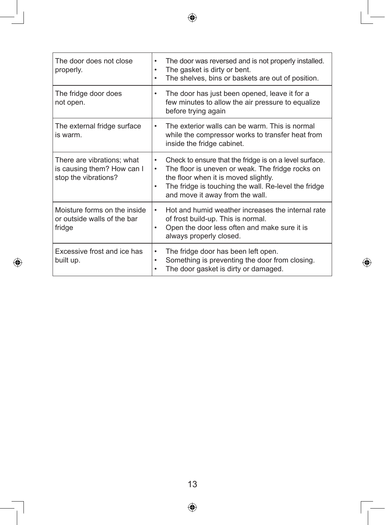| The door does not close<br>properly.                                             | The door was reversed and is not properly installed.<br>٠<br>The gasket is dirty or bent.<br>٠<br>The shelves, bins or baskets are out of position.                                                                                                             |
|----------------------------------------------------------------------------------|-----------------------------------------------------------------------------------------------------------------------------------------------------------------------------------------------------------------------------------------------------------------|
| The fridge door does<br>not open.                                                | The door has just been opened, leave it for a<br>few minutes to allow the air pressure to equalize<br>before trying again                                                                                                                                       |
| The external fridge surface<br>is warm.                                          | The exterior walls can be warm. This is normal<br>٠<br>while the compressor works to transfer heat from<br>inside the fridge cabinet.                                                                                                                           |
| There are vibrations; what<br>is causing them? How can I<br>stop the vibrations? | Check to ensure that the fridge is on a level surface.<br>$\bullet$<br>The floor is uneven or weak. The fridge rocks on<br>٠<br>the floor when it is moved slightly.<br>The fridge is touching the wall. Re-level the fridge<br>and move it away from the wall. |
| Moisture forms on the inside<br>or outside walls of the bar<br>fridge            | Hot and humid weather increases the internal rate<br>of frost build-up. This is normal.<br>Open the door less often and make sure it is<br>$\bullet$<br>always properly closed.                                                                                 |
| Excessive frost and ice has<br>built up.                                         | The fridge door has been left open.<br>٠<br>Something is preventing the door from closing.<br>$\bullet$<br>The door gasket is dirty or damaged.                                                                                                                 |

 $\bigoplus$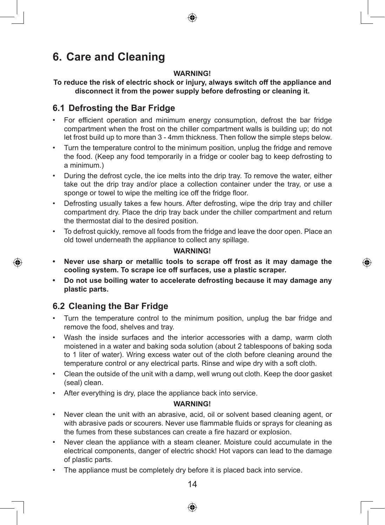# **6. Care and Cleaning**

#### **WARNING!**

**To reduce the risk of electric shock or injury, always switch off the appliance and disconnect it from the power supply before defrosting or cleaning it.**

#### **6.1 Defrosting the Bar Fridge**

- For efficient operation and minimum energy consumption, defrost the bar fridge compartment when the frost on the chiller compartment walls is building up; do not let frost build up to more than 3 - 4mm thickness. Then follow the simple steps below.
- Turn the temperature control to the minimum position, unplug the fridge and remove the food. (Keep any food temporarily in a fridge or cooler bag to keep defrosting to a minimum.)
- During the defrost cycle, the ice melts into the drip tray. To remove the water, either take out the drip tray and/or place a collection container under the tray, or use a sponge or towel to wipe the melting ice off the fridge floor.
- Defrosting usually takes a few hours. After defrosting, wipe the drip tray and chiller compartment dry. Place the drip tray back under the chiller compartment and return the thermostat dial to the desired position.
- To defrost quickly, remove all foods from the fridge and leave the door open. Place an old towel underneath the appliance to collect any spillage.

#### **WARNING!**

- **• Never use sharp or metallic tools to scrape off frost as it may damage the cooling system. To scrape ice off surfaces, use a plastic scraper.**
- **• Do not use boiling water to accelerate defrosting because it may damage any plastic parts.**

#### **6.2 Cleaning the Bar Fridge**

◈

- Turn the temperature control to the minimum position, unplug the bar fridge and remove the food, shelves and tray.
- Wash the inside surfaces and the interior accessories with a damp, warm cloth moistened in a water and baking soda solution (about 2 tablespoons of baking soda to 1 liter of water). Wring excess water out of the cloth before cleaning around the temperature control or any electrical parts. Rinse and wipe dry with a soft cloth.
- Clean the outside of the unit with a damp, well wrung out cloth. Keep the door gasket (seal) clean.
- After everything is dry, place the appliance back into service.

#### **WARNING!**

- Never clean the unit with an abrasive, acid, oil or solvent based cleaning agent, or with abrasive pads or scourers. Never use flammable fluids or sprays for cleaning as the fumes from these substances can create a fire hazard or explosion.
- Never clean the appliance with a steam cleaner. Moisture could accumulate in the electrical components, danger of electric shock! Hot vapors can lead to the damage of plastic parts.
- The appliance must be completely dry before it is placed back into service.

 $14$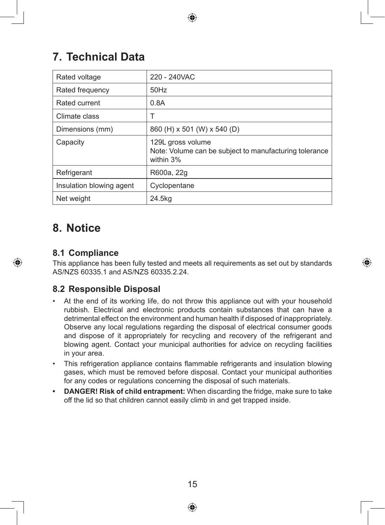# **7. Technical Data**

| Rated voltage            | 220 - 240VAC                                                                             |
|--------------------------|------------------------------------------------------------------------------------------|
| Rated frequency          | $50$ Hz                                                                                  |
| Rated current            | 0.8A                                                                                     |
| Climate class            | Т                                                                                        |
| Dimensions (mm)          | 860 (H) x 501 (W) x 540 (D)                                                              |
| Capacity                 | 129L gross volume<br>Note: Volume can be subject to manufacturing tolerance<br>within 3% |
| Refrigerant              | R600a, 22g                                                                               |
| Insulation blowing agent | Cyclopentane                                                                             |
| Net weight               | 24.5kg                                                                                   |

## **8. Notice**

◈

#### **8.1 Compliance**

This appliance has been fully tested and meets all requirements as set out by standards AS/NZS 60335.1 and AS/NZS 60335.2.24.

↔

#### **8.2 Responsible Disposal**

- At the end of its working life, do not throw this appliance out with your household rubbish. Electrical and electronic products contain substances that can have a detrimental effect on the environment and human health if disposed of inappropriately. Observe any local regulations regarding the disposal of electrical consumer goods and dispose of it appropriately for recycling and recovery of the refrigerant and blowing agent. Contact your municipal authorities for advice on recycling facilities in your area.
- This refrigeration appliance contains flammable refrigerants and insulation blowing gases, which must be removed before disposal. Contact your municipal authorities for any codes or regulations concerning the disposal of such materials.
- **• DANGER! Risk of child entrapment:** When discarding the fridge, make sure to take off the lid so that children cannot easily climb in and get trapped inside.

15

↔